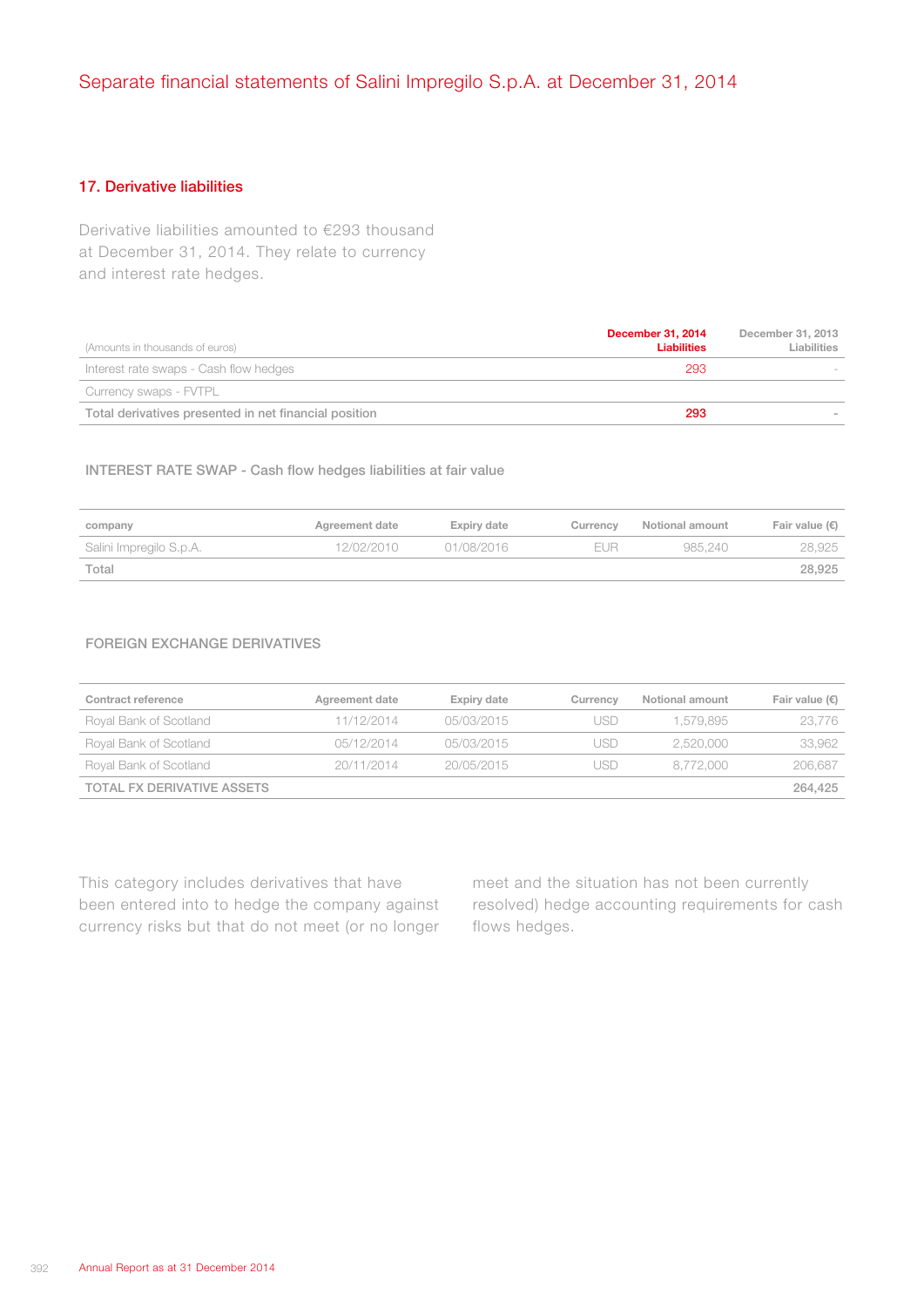## 17. Derivative liabilities

Derivative liabilities amounted to €293 thousand at December 31, 2014. They relate to currency and interest rate hedges.

| (Amounts in thousands of euros)                       | <b>December 31, 2014</b><br><b>Liabilities</b> | December 31, 2013<br>Liabilities |
|-------------------------------------------------------|------------------------------------------------|----------------------------------|
| Interest rate swaps - Cash flow hedges                | 293                                            |                                  |
| Currency swaps - FVTPL                                |                                                |                                  |
| Total derivatives presented in net financial position | 293                                            |                                  |

## INTEREST RATE SWAP - Cash flow hedges liabilities at fair value

| company                 | Agreement date | Expiry date | Currency | Notional amount | Fair value $(\epsilon)$ |
|-------------------------|----------------|-------------|----------|-----------------|-------------------------|
| Salini Impregilo S.p.A. | 12/02/2010     | 01/08/2016  | EUR      | 985.240         | 28.925                  |
| Total                   |                |             |          |                 | 28.925                  |

## FOREIGN EXCHANGE DERIVATIVES

| Contract reference                | Agreement date | Expiry date | Currency | Notional amount | Fair value $(\epsilon)$ |
|-----------------------------------|----------------|-------------|----------|-----------------|-------------------------|
| Royal Bank of Scotland            | 11/12/2014     | 05/03/2015  | JSD      | 1.579.895       | 23.776                  |
| Royal Bank of Scotland            | 05/12/2014     | 05/03/2015  | JSD      | 2.520.000       | 33,962                  |
| Royal Bank of Scotland            | 20/11/2014     | 20/05/2015  | JSD      | 8.772.000       | 206,687                 |
| <b>TOTAL FX DERIVATIVE ASSETS</b> |                |             |          |                 | 264.425                 |

This category includes derivatives that have been entered into to hedge the company against currency risks but that do not meet (or no longer

meet and the situation has not been currently resolved) hedge accounting requirements for cash flows hedges.